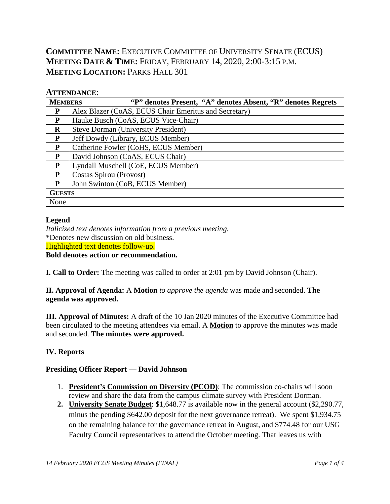# **COMMITTEE NAME:** EXECUTIVE COMMITTEE OF UNIVERSITY SENATE (ECUS) **MEETING DATE & TIME:** FRIDAY, FEBRUARY 14, 2020, 2:00-3:15 P.M. **MEETING LOCATION: PARKS HALL 301**

#### **ATTENDANCE**:

| <b>MEMBERS</b> | "P" denotes Present, "A" denotes Absent, "R" denotes Regrets |  |  |  |  |  |  |  |  |
|----------------|--------------------------------------------------------------|--|--|--|--|--|--|--|--|
| P              | Alex Blazer (CoAS, ECUS Chair Emeritus and Secretary)        |  |  |  |  |  |  |  |  |
| P              | Hauke Busch (CoAS, ECUS Vice-Chair)                          |  |  |  |  |  |  |  |  |
| $\bf{R}$       | <b>Steve Dorman (University President)</b>                   |  |  |  |  |  |  |  |  |
| P              | Jeff Dowdy (Library, ECUS Member)                            |  |  |  |  |  |  |  |  |
| P              | Catherine Fowler (CoHS, ECUS Member)                         |  |  |  |  |  |  |  |  |
| P              | David Johnson (CoAS, ECUS Chair)                             |  |  |  |  |  |  |  |  |
| P              | Lyndall Muschell (CoE, ECUS Member)                          |  |  |  |  |  |  |  |  |
| P              | Costas Spirou (Provost)                                      |  |  |  |  |  |  |  |  |
| P              | John Swinton (CoB, ECUS Member)                              |  |  |  |  |  |  |  |  |
| <b>GUESTS</b>  |                                                              |  |  |  |  |  |  |  |  |
| None           |                                                              |  |  |  |  |  |  |  |  |

#### **Legend**

*Italicized text denotes information from a previous meeting.* \*Denotes new discussion on old business. Highlighted text denotes follow-up. **Bold denotes action or recommendation.**

**I. Call to Order:** The meeting was called to order at 2:01 pm by David Johnson (Chair).

**II. Approval of Agenda:** A **Motion** *to approve the agenda* was made and seconded. **The agenda was approved.**

**III. Approval of Minutes:** A draft of the 10 Jan 2020 minutes of the Executive Committee had been circulated to the meeting attendees via email. A **Motion** to approve the minutes was made and seconded. **The minutes were approved.**

### **IV. Reports**

#### **Presiding Officer Report — David Johnson**

- 1. **President's Commission on Diversity (PCOD)**: The commission co-chairs will soon review and share the data from the campus climate survey with President Dorman.
- **2. University Senate Budget**: \$1,648.77 is available now in the general account (\$2,290.77, minus the pending \$642.00 deposit for the next governance retreat). We spent \$1,934.75 on the remaining balance for the governance retreat in August, and \$774.48 for our USG Faculty Council representatives to attend the October meeting. That leaves us with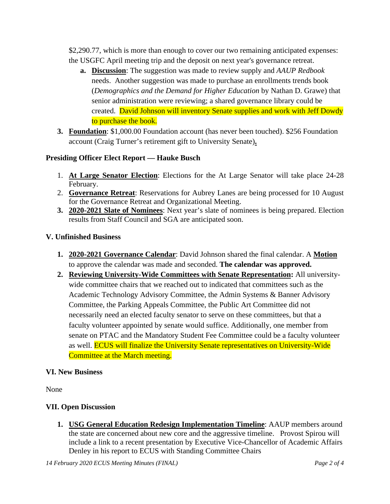\$2,290.77, which is more than enough to cover our two remaining anticipated expenses: the USGFC April meeting trip and the deposit on next year's governance retreat.

- **a. Discussion**: The suggestion was made to review supply and *AAUP Redbook* needs. Another suggestion was made to purchase an enrollments trends book (*Demographics and the Demand for Higher Education* by Nathan D. Grawe) that senior administration were reviewing; a shared governance library could be created. David Johnson will inventory Senate supplies and work with Jeff Dowdy to purchase the book.
- **3. Foundation**: \$1,000.00 Foundation account (has never been touched). \$256 Foundation account (Craig Turner's retirement gift to University Senate)**.**

#### **Presiding Officer Elect Report — Hauke Busch**

- 1. **At Large Senator Election**: Elections for the At Large Senator will take place 24-28 February.
- 2. **Governance Retreat**: Reservations for Aubrey Lanes are being processed for 10 August for the Governance Retreat and Organizational Meeting.
- **3. 2020-2021 Slate of Nominees**: Next year's slate of nominees is being prepared. Election results from Staff Council and SGA are anticipated soon.

#### **V. Unfinished Business**

- **1. 2020-2021 Governance Calendar**: David Johnson shared the final calendar. A **Motion** to approve the calendar was made and seconded. **The calendar was approved.**
- **2. Reviewing University-Wide Committees with Senate Representation:** All universitywide committee chairs that we reached out to indicated that committees such as the Academic Technology Advisory Committee, the Admin Systems & Banner Advisory Committee, the Parking Appeals Committee, the Public Art Committee did not necessarily need an elected faculty senator to serve on these committees, but that a faculty volunteer appointed by senate would suffice. Additionally, one member from senate on PTAC and the Mandatory Student Fee Committee could be a faculty volunteer as well. ECUS will finalize the University Senate representatives on University-Wide Committee at the March meeting.

#### **VI. New Business**

None

#### **VII. Open Discussion**

**1. USG General Education Redesign Implementation Timeline**: AAUP members around the state are concerned about new core and the aggressive timeline. Provost Spirou will include a link to a recent presentation by Executive Vice-Chancellor of Academic Affairs Denley in his report to ECUS with Standing Committee Chairs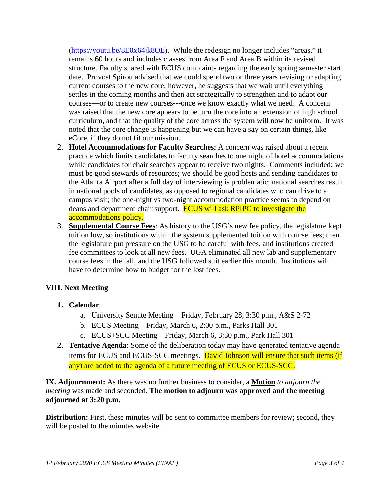[\(https://youtu.be/8E0x64jk8OE\)](https://nam03.safelinks.protection.outlook.com/?url=https%3A%2F%2Fyoutu.be%2F8E0x64jk8OE&data=02%7C01%7Ccostas.spirou%40gcsu.edu%7C1cd40b0b679347fc7db808d7b16614de%7Cbfd29cfa8e7142e69abc953a6d6f07d6%7C0%7C0%7C637172924306735991&sdata=kNRsF3X%2B4cjY9sabyjr2Tw1AHqyrd93It4NAIPJM03k%3D&reserved=0). While the redesign no longer includes "areas," it remains 60 hours and includes classes from Area F and Area B within its revised structure. Faculty shared with ECUS complaints regarding the early spring semester start date. Provost Spirou advised that we could spend two or three years revising or adapting current courses to the new core; however, he suggests that we wait until everything settles in the coming months and then act strategically to strengthen and to adapt our courses—or to create new courses---once we know exactly what we need. A concern was raised that the new core appears to be turn the core into an extension of high school curriculum, and that the quality of the core across the system will now be uniform. It was noted that the core change is happening but we can have a say on certain things, like eCore, if they do not fit our mission.

- 2. **Hotel Accommodations for Faculty Searches**: A concern was raised about a recent practice which limits candidates to faculty searches to one night of hotel accommodations while candidates for chair searches appear to receive two nights. Comments included: we must be good stewards of resources; we should be good hosts and sending candidates to the Atlanta Airport after a full day of interviewing is problematic; national searches result in national pools of candidates, as opposed to regional candidates who can drive to a campus visit; the one-night vs two-night accommodation practice seems to depend on deans and department chair support. **ECUS** will ask RPIPC to investigate the accommodations policy.
- 3. **Supplemental Course Fees**: As history to the USG's new fee policy, the legislature kept tuition low, so institutions within the system supplemented tuition with course fees; then the legislature put pressure on the USG to be careful with fees, and institutions created fee committees to look at all new fees. UGA eliminated all new lab and supplementary course fees in the fall, and the USG followed suit earlier this month. Institutions will have to determine how to budget for the lost fees.

#### **VIII. Next Meeting**

#### **1. Calendar**

- a. University Senate Meeting Friday, February 28, 3:30 p.m., A&S 2-72
- b. ECUS Meeting Friday, March 6, 2:00 p.m., Parks Hall 301
- c. ECUS+SCC Meeting Friday, March 6, 3:30 p.m., Park Hall 301
- **2. Tentative Agenda**: Some of the deliberation today may have generated tentative agenda items for ECUS and ECUS-SCC meetings. David Johnson will ensure that such items (if any) are added to the agenda of a future meeting of ECUS or ECUS-SCC.

**IX. Adjournment:** As there was no further business to consider, a **Motion** *to adjourn the meeting* was made and seconded. **The motion to adjourn was approved and the meeting adjourned at 3:20 p.m.**

**Distribution:** First, these minutes will be sent to committee members for review; second, they will be posted to the minutes website.